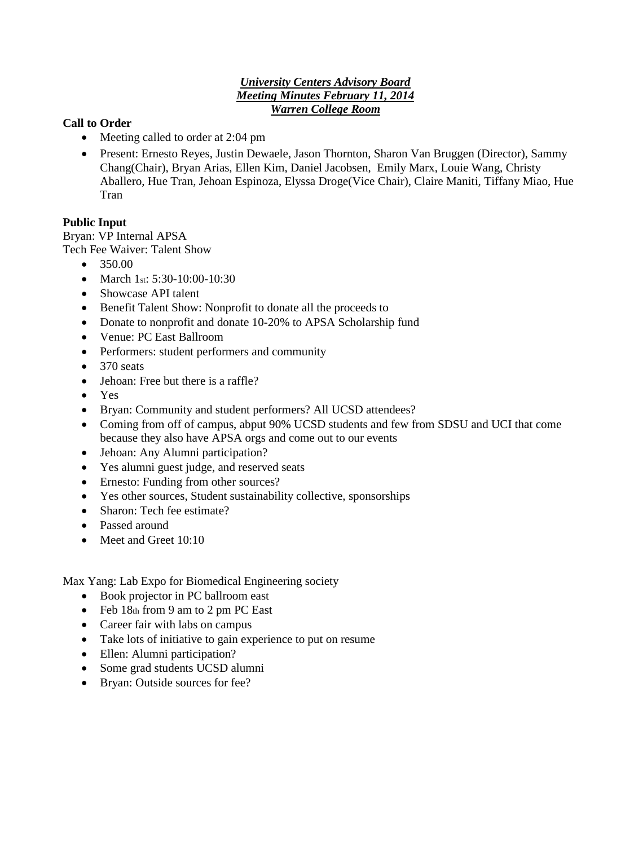### *University Centers Advisory Board Meeting Minutes February 11, 2014 Warren College Room*

### **Call to Order**

- Meeting called to order at 2:04 pm
- Present: Ernesto Reyes, Justin Dewaele, Jason Thornton, Sharon Van Bruggen (Director), Sammy Chang(Chair), Bryan Arias, Ellen Kim, Daniel Jacobsen, Emily Marx, Louie Wang, Christy Aballero, Hue Tran, Jehoan Espinoza, Elyssa Droge(Vice Chair), Claire Maniti, Tiffany Miao, Hue Tran

# **Public Input**

Bryan: VP Internal APSA Tech Fee Waiver: Talent Show

- $\bullet$  350.00
- March 1st:  $5:30-10:00-10:30$
- Showcase API talent
- Benefit Talent Show: Nonprofit to donate all the proceeds to
- Donate to nonprofit and donate 10-20% to APSA Scholarship fund
- Venue: PC East Ballroom
- Performers: student performers and community
- $\bullet$  370 seats
- Jehoan: Free but there is a raffle?
- Yes
- Bryan: Community and student performers? All UCSD attendees?
- Coming from off of campus, abput 90% UCSD students and few from SDSU and UCI that come because they also have APSA orgs and come out to our events
- Jehoan: Any Alumni participation?
- Yes alumni guest judge, and reserved seats
- Ernesto: Funding from other sources?
- Yes other sources, Student sustainability collective, sponsorships
- Sharon: Tech fee estimate?
- Passed around
- Meet and Greet 10:10

Max Yang: Lab Expo for Biomedical Engineering society

- Book projector in PC ballroom east
- Feb 18th from 9 am to 2 pm PC East
- Career fair with labs on campus
- Take lots of initiative to gain experience to put on resume
- Ellen: Alumni participation?
- Some grad students UCSD alumni
- Bryan: Outside sources for fee?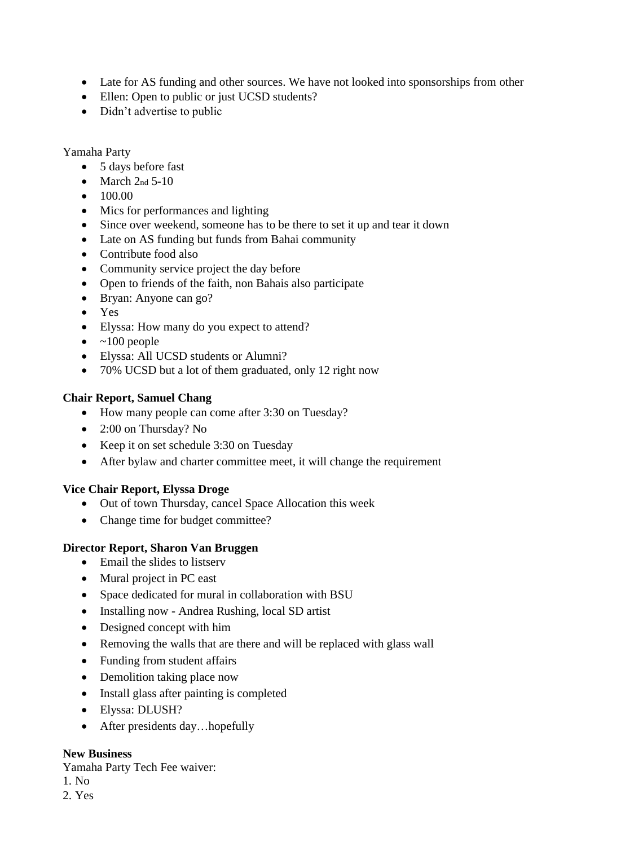- Late for AS funding and other sources. We have not looked into sponsorships from other
- Ellen: Open to public or just UCSD students?
- Didn't advertise to public

## Yamaha Party

- 5 days before fast
- $\bullet$  March 2nd 5-10
- $\bullet$  100.00
- Mics for performances and lighting
- Since over weekend, someone has to be there to set it up and tear it down
- Late on AS funding but funds from Bahai community
- Contribute food also
- Community service project the day before
- Open to friends of the faith, non Bahais also participate
- Bryan: Anyone can go?
- Yes
- Elyssa: How many do you expect to attend?
- $\bullet \quad \text{~100 people}$
- Elyssa: All UCSD students or Alumni?
- 70% UCSD but a lot of them graduated, only 12 right now

# **Chair Report, Samuel Chang**

- How many people can come after 3:30 on Tuesday?
- 2:00 on Thursday? No
- Keep it on set schedule 3:30 on Tuesday
- After bylaw and charter committee meet, it will change the requirement

# **Vice Chair Report, Elyssa Droge**

- Out of town Thursday, cancel Space Allocation this week
- Change time for budget committee?

### **Director Report, Sharon Van Bruggen**

- Email the slides to listserv
- Mural project in PC east
- Space dedicated for mural in collaboration with BSU
- Installing now Andrea Rushing, local SD artist
- Designed concept with him
- Removing the walls that are there and will be replaced with glass wall
- Funding from student affairs
- Demolition taking place now
- Install glass after painting is completed
- Elyssa: DLUSH?
- After presidents day...hopefully

### **New Business**

Yamaha Party Tech Fee waiver:

- 1. No
- 2. Yes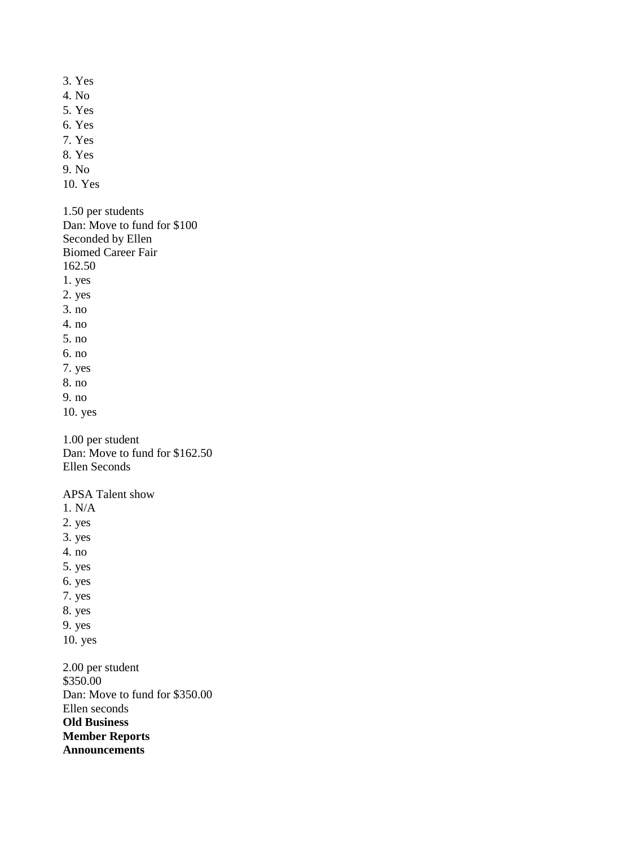3. Yes 4. No 5. Yes 6. Yes 7. Yes 8. Yes 9. No 10. Yes 1.50 per students Dan: Move to fund for \$100 Seconded by Ellen Biomed Career Fair 162.50 1. yes 2. yes 3. no 4. no 5. no 6. no 7. yes 8. no 9. no 10. yes 1.00 per student Dan: Move to fund for \$162.50 Ellen Seconds APSA Talent show 1. N/A 2. yes 3. yes 4. no

- 5. yes
- 6. yes
- 7. yes
- 8. yes
- 9. yes
- 10. yes

2.00 per student \$350.00 Dan: Move to fund for \$350.00 Ellen seconds **Old Business Member Reports Announcements**